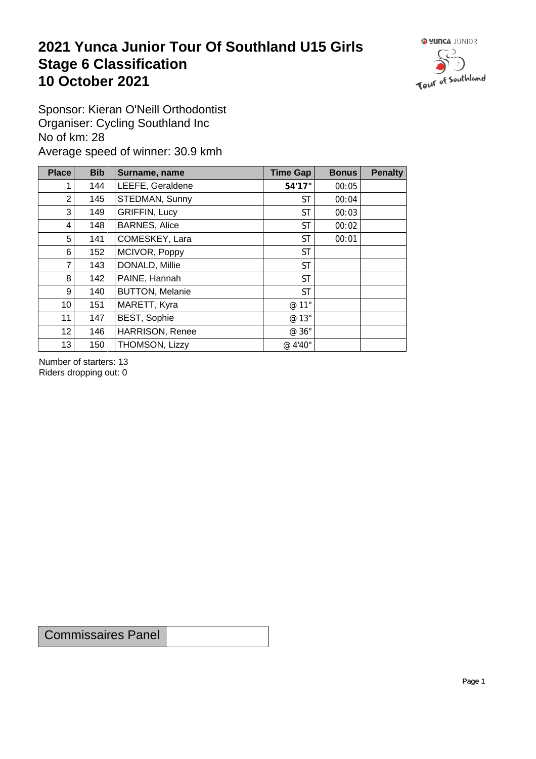## **2021 Yunca Junior Tour Of Southland U15 Girls** Stage 6 Classification<br>10 October 2021 **10 October 2021**



Sponsor: Kieran O'Neill Orthodontist Organiser: Cycling Southland Inc No of km: 28 Average speed of winner: 30.9 kmh

| <b>Place</b>    | <b>Bib</b> | Surname, name          | Time Gap  | <b>Bonus</b> | <b>Penalty</b> |
|-----------------|------------|------------------------|-----------|--------------|----------------|
|                 | 144        | LEEFE, Geraldene       | 54'17"    | 00:05        |                |
| $\overline{2}$  | 145        | STEDMAN, Sunny         | <b>ST</b> | 00:04        |                |
| 3               | 149        | <b>GRIFFIN, Lucy</b>   | <b>ST</b> | 00:03        |                |
| 4               | 148        | <b>BARNES, Alice</b>   | <b>ST</b> | 00:02        |                |
| 5               | 141        | COMESKEY, Lara         | <b>ST</b> | 00:01        |                |
| 6               | 152        | MCIVOR, Poppy          | <b>ST</b> |              |                |
| $\overline{7}$  | 143        | DONALD, Millie         | <b>ST</b> |              |                |
| 8               | 142        | PAINE, Hannah          | <b>ST</b> |              |                |
| 9               | 140        | <b>BUTTON, Melanie</b> | <b>ST</b> |              |                |
| 10 <sup>1</sup> | 151        | MARETT, Kyra           | @ 11"     |              |                |
| 11              | 147        | <b>BEST, Sophie</b>    | @ 13"     |              |                |
| 12              | 146        | HARRISON, Renee        | @ 36"     |              |                |
| 13              | 150        | THOMSON, Lizzy         | @ 4'40"   |              |                |

Number of starters: 13 Riders dropping out: 0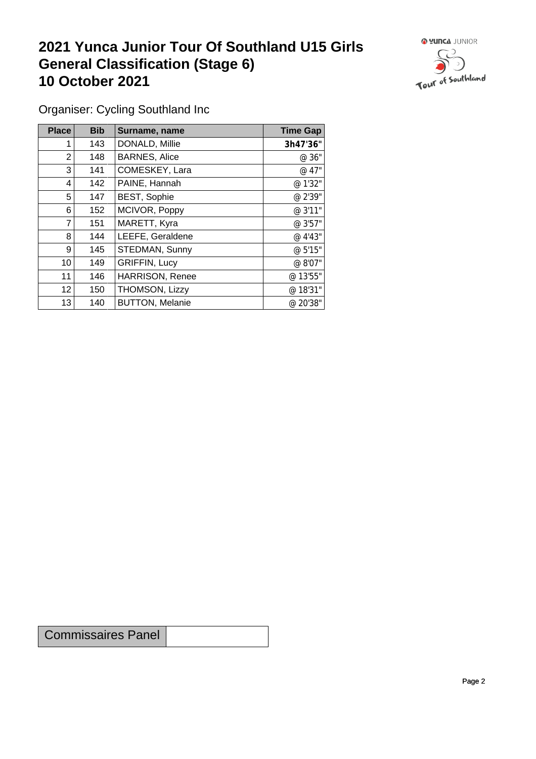## **2021 Yunca Junior Tour Of Southland U15 Girls General Classification (Stage 6)**<br>10 October 2021 **10 October 2021**



Organiser: Cycling Southland Inc

| Place           | <b>Bib</b> | Surname, name          | <b>Time Gap</b> |
|-----------------|------------|------------------------|-----------------|
|                 | 143        | DONALD, Millie         | 3h47'36"        |
| 2               | 148        | <b>BARNES, Alice</b>   | @ 36"           |
| 3               | 141        | COMESKEY, Lara         | @ 47"           |
| 4               | 142        | PAINE, Hannah          | @ 1'32"         |
| 5               | 147        | BEST, Sophie           | @ 2'39"         |
| 6               | 152        | MCIVOR, Poppy          | @ 3'11"         |
| $\overline{7}$  | 151        | MARETT, Kyra           | @ 3'57"         |
| 8               | 144        | LEEFE, Geraldene       | @ 4'43"         |
| 9               | 145        | STEDMAN, Sunny         | @ 5'15"         |
| 10              | 149        | <b>GRIFFIN, Lucy</b>   | @ 8'07"         |
| 11              | 146        | <b>HARRISON, Renee</b> | @ 13'55"        |
| 12 <sup>2</sup> | 150        | THOMSON, Lizzy         | @ 18'31"        |
| 13              | 140        | <b>BUTTON, Melanie</b> | @ 20'38"        |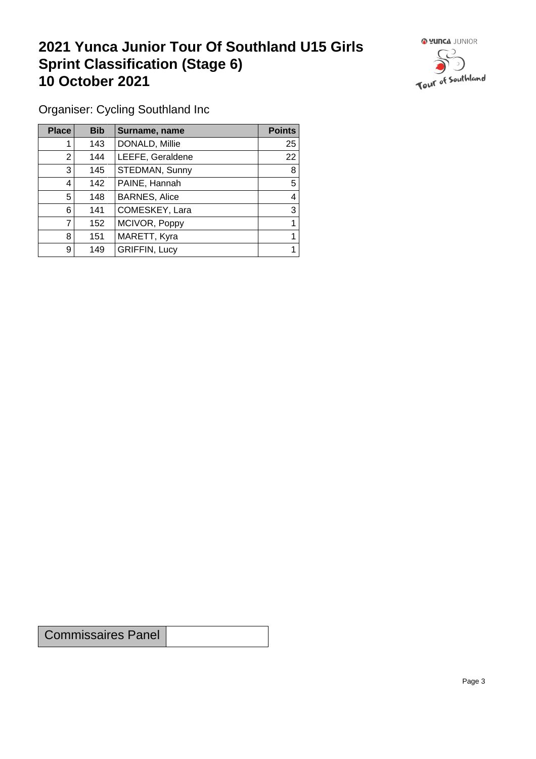## **2021 Yunca Junior Tour Of Southland U15 Girls Sprint Classification (Stage 6) 10 October 2021**



Organiser: Cycling Southland Inc

| <b>Place</b>   | <b>Bib</b> | Surname, name        | <b>Points</b> |
|----------------|------------|----------------------|---------------|
|                | 143        | DONALD, Millie       | 25            |
| $\overline{2}$ | 144        | LEEFE, Geraldene     | 22            |
| 3              | 145        | STEDMAN, Sunny       | 8             |
| 4              | 142        | PAINE, Hannah        | 5             |
| 5              | 148        | <b>BARNES, Alice</b> | 4             |
| 6              | 141        | COMESKEY, Lara       | 3             |
|                | 152        | MCIVOR, Poppy        |               |
| 8              | 151        | MARETT, Kyra         |               |
| 9              | 149        | <b>GRIFFIN, Lucy</b> |               |